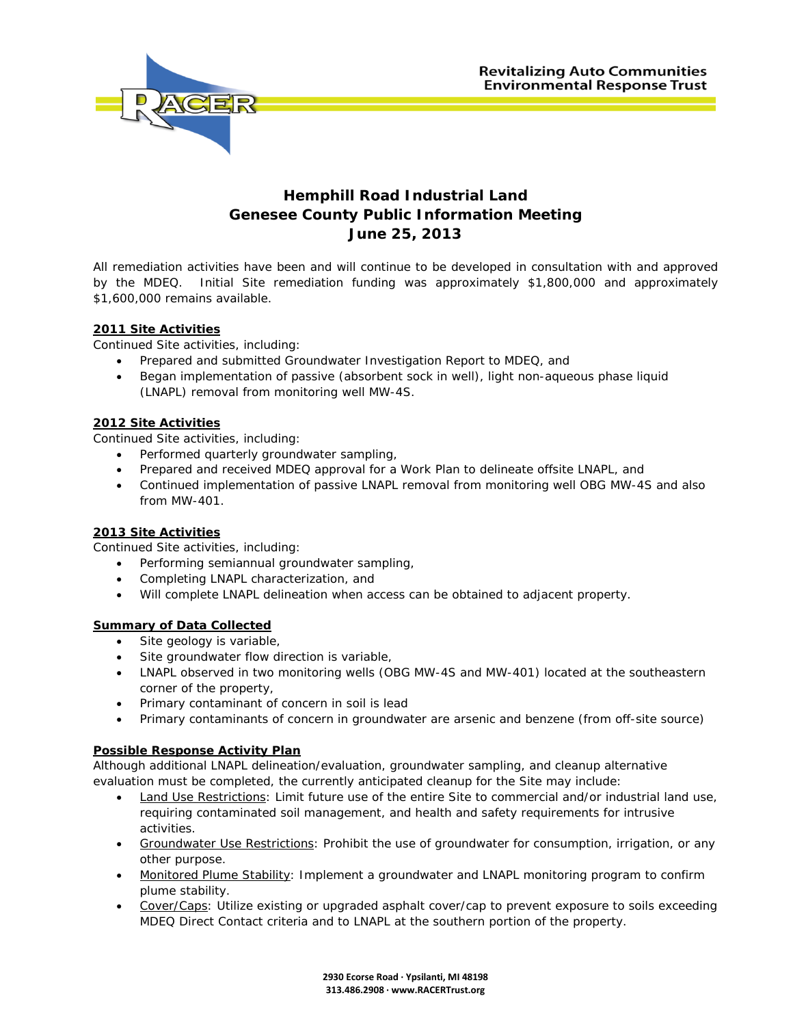

## **Hemphill Road Industrial Land Genesee County Public Information Meeting June 25, 2013**

All remediation activities have been and will continue to be developed in consultation with and approved by the MDEQ. Initial Site remediation funding was approximately \$1,800,000 and approximately \$1,600,000 remains available.

#### **2011 Site Activities**

Continued Site activities, including:

- Prepared and submitted Groundwater Investigation Report to MDEQ, and
- Began implementation of passive (absorbent sock in well), light non-aqueous phase liquid (LNAPL) removal from monitoring well MW-4S.

#### **2012 Site Activities**

Continued Site activities, including:

- Performed quarterly groundwater sampling,
- Prepared and received MDEQ approval for a Work Plan to delineate offsite LNAPL, and
- Continued implementation of passive LNAPL removal from monitoring well OBG MW-4S and also from MW-401.

#### **2013 Site Activities**

Continued Site activities, including:

- Performing semiannual groundwater sampling,
- Completing LNAPL characterization, and
- Will complete LNAPL delineation when access can be obtained to adjacent property.

#### **Summary of Data Collected**

- Site geology is variable,
- Site groundwater flow direction is variable,
- LNAPL observed in two monitoring wells (OBG MW-4S and MW-401) located at the southeastern corner of the property,
- Primary contaminant of concern in soil is lead
- Primary contaminants of concern in groundwater are arsenic and benzene (from off-site source)

#### **Possible Response Activity Plan**

Although additional LNAPL delineation/evaluation, groundwater sampling, and cleanup alternative evaluation must be completed, the currently anticipated cleanup for the Site may include:

- Land Use Restrictions: Limit future use of the entire Site to commercial and/or industrial land use, requiring contaminated soil management, and health and safety requirements for intrusive activities.
- Groundwater Use Restrictions: Prohibit the use of groundwater for consumption, irrigation, or any other purpose.
- Monitored Plume Stability: Implement a groundwater and LNAPL monitoring program to confirm plume stability.
- Cover/Caps: Utilize existing or upgraded asphalt cover/cap to prevent exposure to soils exceeding MDEQ Direct Contact criteria and to LNAPL at the southern portion of the property.